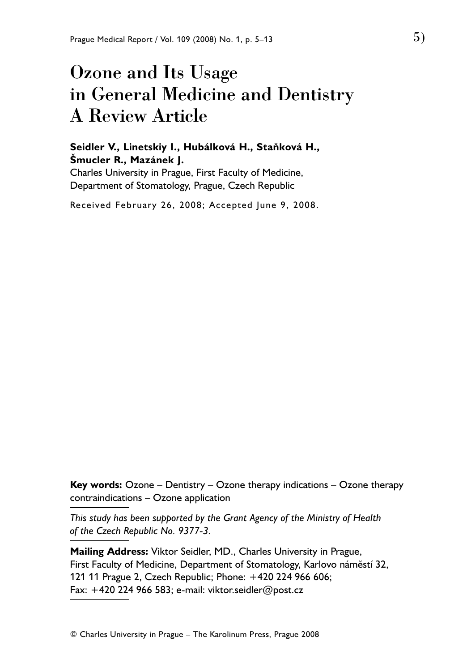# Ozone and Its Usage in General Medicine and Dentistry A Review Article

# **Seidler V., Linetskiy I., Hubálková H., Staňková H., Šmucler R., Mazánek J.**

Charles University in Prague, First Faculty of Medicine, Department of Stomatology, Prague, Czech Republic

Received February 26, 2008; Accepted June 9, 2008.

**Key words:** Ozone – Dentistry – Ozone therapy indications – Ozone therapy contraindications – Ozone application

*This study has been supported by the Grant Agency of the Ministry of Health of the Czech Republic No. 9377-3.*

**Mailing Address:** Viktor Seidler, MD., Charles University in Prague, First Faculty of Medicine, Department of Stomatology, Karlovo náměstí 32, 121 11 Prague 2, Czech Republic; Phone: +420 224 966 606; Fax: +420 224 966 583; e-mail: viktor.seidler@post.cz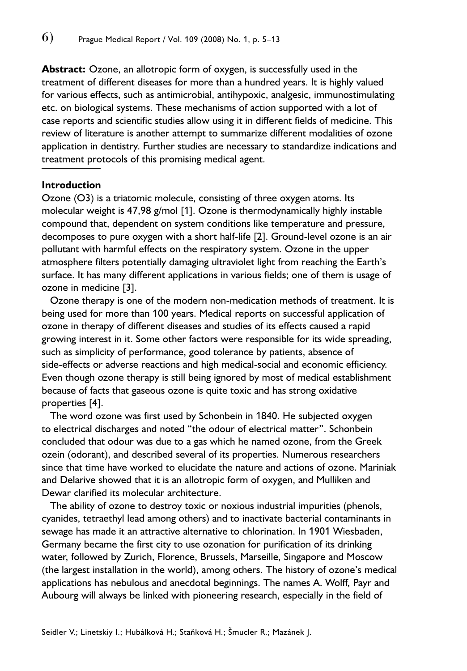**Abstract:** Ozone, an allotropic form of oxygen, is successfully used in the treatment of different diseases for more than a hundred years. It is highly valued for various effects, such as antimicrobial, antihypoxic, analgesic, immunostimulating etc. on biological systems. These mechanisms of action supported with a lot of case reports and scientific studies allow using it in different fields of medicine. This review of literature is another attempt to summarize different modalities of ozone application in dentistry. Further studies are necessary to standardize indications and treatment protocols of this promising medical agent.

## **Introduction**

Ozone (O3) is a triatomic molecule, consisting of three oxygen atoms. Its molecular weight is 47,98 g/mol [1]. Ozone is thermodynamically highly instable compound that, dependent on system conditions like temperature and pressure, decomposes to pure oxygen with a short half-life [2]. Ground-level ozone is an air pollutant with harmful effects on the respiratory system. Ozone in the upper atmosphere filters potentially damaging ultraviolet light from reaching the Earth's surface. It has many different applications in various fields; one of them is usage of ozone in medicine [3].

Ozone therapy is one of the modern non-medication methods of treatment. It is being used for more than 100 years. Medical reports on successful application of ozone in therapy of different diseases and studies of its effects caused a rapid growing interest in it. Some other factors were responsible for its wide spreading, such as simplicity of performance, good tolerance by patients, absence of side-effects or adverse reactions and high medical-social and economic efficiency. Even though ozone therapy is still being ignored by most of medical establishment because of facts that gaseous ozone is quite toxic and has strong oxidative properties [4].

The word ozone was first used by Schonbein in 1840. He subjected oxygen to electrical discharges and noted "the odour of electrical matter". Schonbein concluded that odour was due to a gas which he named ozone, from the Greek ozein (odorant), and described several of its properties. Numerous researchers since that time have worked to elucidate the nature and actions of ozone. Mariniak and Delarive showed that it is an allotropic form of oxygen, and Mulliken and Dewar clarified its molecular architecture.

The ability of ozone to destroy toxic or noxious industrial impurities (phenols, cyanides, tetraethyl lead among others) and to inactivate bacterial contaminants in sewage has made it an attractive alternative to chlorination. In 1901 Wiesbaden, Germany became the first city to use ozonation for purification of its drinking water, followed by Zurich, Florence, Brussels, Marseille, Singapore and Moscow (the largest installation in the world), among others. The history of ozone's medical applications has nebulous and anecdotal beginnings. The names A. Wolff, Payr and Aubourg will always be linked with pioneering research, especially in the field of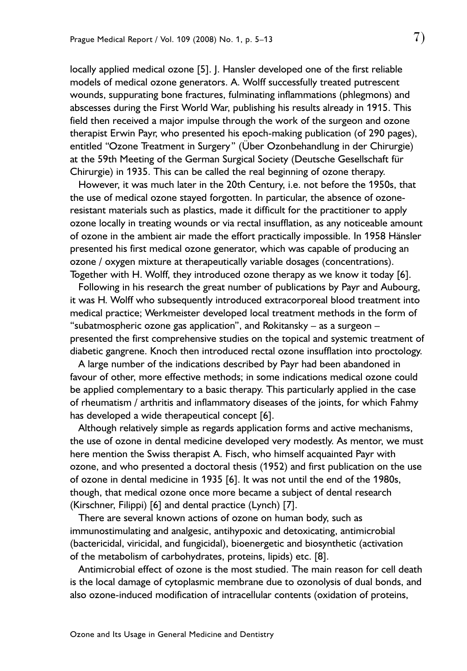locally applied medical ozone [5]. J. Hansler developed one of the first reliable models of medical ozone generators. A. Wolff successfully treated putrescent wounds, suppurating bone fractures, fulminating inflammations (phlegmons) and abscesses during the First World War, publishing his results already in 1915. This field then received a major impulse through the work of the surgeon and ozone therapist Erwin Payr, who presented his epoch-making publication (of 290 pages), entitled "Ozone Treatment in Surgery" (Über Ozonbehandlung in der Chirurgie) at the 59th Meeting of the German Surgical Society (Deutsche Gesellschaft für Chirurgie) in 1935. This can be called the real beginning of ozone therapy.

However, it was much later in the 20th Century, i.e. not before the 1950s, that the use of medical ozone stayed forgotten. In particular, the absence of ozoneresistant materials such as plastics, made it difficult for the practitioner to apply ozone locally in treating wounds or via rectal insufflation, as any noticeable amount of ozone in the ambient air made the effort practically impossible. In 1958 Hänsler presented his first medical ozone generator, which was capable of producing an ozone / oxygen mixture at therapeutically variable dosages (concentrations). Together with H. Wolff, they introduced ozone therapy as we know it today [6].

Following in his research the great number of publications by Payr and Aubourg, it was H. Wolff who subsequently introduced extracorporeal blood treatment into medical practice; Werkmeister developed local treatment methods in the form of "subatmospheric ozone gas application", and Rokitansky – as a surgeon – presented the first comprehensive studies on the topical and systemic treatment of diabetic gangrene. Knoch then introduced rectal ozone insufflation into proctology.

A large number of the indications described by Payr had been abandoned in favour of other, more effective methods; in some indications medical ozone could be applied complementary to a basic therapy. This particularly applied in the case of rheumatism / arthritis and inflammatory diseases of the joints, for which Fahmy has developed a wide therapeutical concept [6].

Although relatively simple as regards application forms and active mechanisms, the use of ozone in dental medicine developed very modestly. As mentor, we must here mention the Swiss therapist A. Fisch, who himself acquainted Payr with ozone, and who presented a doctoral thesis (1952) and first publication on the use of ozone in dental medicine in 1935 [6]. It was not until the end of the 1980s, though, that medical ozone once more became a subject of dental research (Kirschner, Filippi) [6] and dental practice (Lynch) [7].

There are several known actions of ozone on human body, such as immunostimulating and analgesic, antihypoxic and detoxicating, antimicrobial (bactericidal, viricidal, and fungicidal), bioenergetic and biosynthetic (activation of the metabolism of carbohydrates, proteins, lipids) etc. [8].

Antimicrobial effect of ozone is the most studied. The main reason for cell death is the local damage of cytoplasmic membrane due to ozonolysis of dual bonds, and also ozone-induced modification of intracellular contents (oxidation of proteins,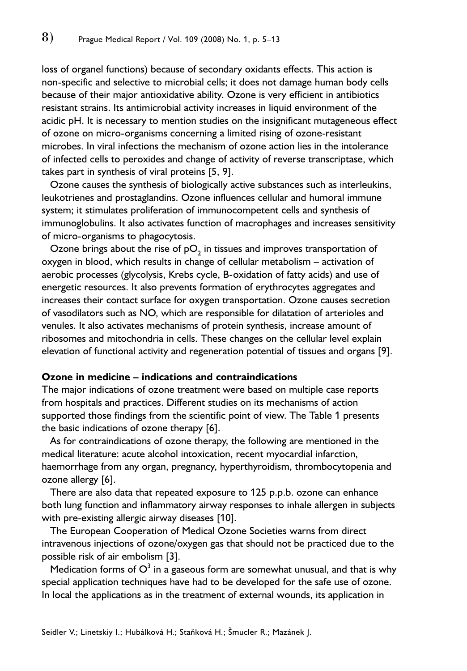loss of organel functions) because of secondary oxidants effects. This action is non-specific and selective to microbial cells; it does not damage human body cells because of their major antioxidative ability. Ozone is very efficient in antibiotics resistant strains. Its antimicrobial activity increases in liquid environment of the acidic pH. It is necessary to mention studies on the insignificant mutageneous effect of ozone on micro-organisms concerning a limited rising of ozone-resistant microbes. In viral infections the mechanism of ozone action lies in the intolerance of infected cells to peroxides and change of activity of reverse transcriptase, which takes part in synthesis of viral proteins [5, 9].

Ozone causes the synthesis of biologically active substances such as interleukins, leukotrienes and prostaglandins. Ozone influences cellular and humoral immune system; it stimulates proliferation of immunocompetent cells and synthesis of immunoglobulins. It also activates function of macrophages and increases sensitivity of micro-organisms to phagocytosis.

Ozone brings about the rise of  $pO<sub>2</sub>$  in tissues and improves transportation of oxygen in blood, which results in change of cellular metabolism – activation of aerobic processes (glycolysis, Krebs cycle, B-oxidation of fatty acids) and use of energetic resources. It also prevents formation of erythrocytes aggregates and increases their contact surface for oxygen transportation. Ozone causes secretion of vasodilators such as NO, which are responsible for dilatation of arterioles and venules. It also activates mechanisms of protein synthesis, increase amount of ribosomes and mitochondria in cells. These changes on the cellular level explain elevation of functional activity and regeneration potential of tissues and organs [9].

## **Ozone in medicine – indications and contraindications**

The major indications of ozone treatment were based on multiple case reports from hospitals and practices. Different studies on its mechanisms of action supported those findings from the scientific point of view. The Table 1 presents the basic indications of ozone therapy [6].

As for contraindications of ozone therapy, the following are mentioned in the medical literature: acute alcohol intoxication, recent myocardial infarction, haemorrhage from any organ, pregnancy, hyperthyroidism, thrombocytopenia and ozone allergy [6].

There are also data that repeated exposure to 125 p.p.b. ozone can enhance both lung function and inflammatory airway responses to inhale allergen in subjects with pre-existing allergic airway diseases [10].

The European Cooperation of Medical Ozone Societies warns from direct intravenous injections of ozone/oxygen gas that should not be practiced due to the possible risk of air embolism [3].

Medication forms of  $O^3$  in a gaseous form are somewhat unusual, and that is why special application techniques have had to be developed for the safe use of ozone. In local the applications as in the treatment of external wounds, its application in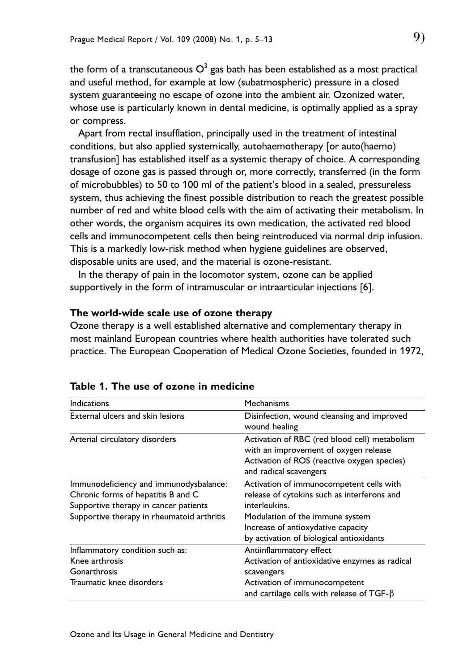the form of a transcutaneous  $\mathsf{O}^3$  gas bath has been established as a most practical and useful method, for example at low (subatmospheric) pressure in a closed system guaranteeing no escape of ozone into the ambient air. Ozonized water, whose use is particularly known in dental medicine, is optimally applied as a spray or compress.

Apart from rectal insufflation, principally used in the treatment of intestinal conditions, but also applied systemically, autohaemotherapy [or auto(haemo) transfusion] has established itself as a systemic therapy of choice. A corresponding dosage of ozone gas is passed through or, more correctly, transferred (in the form of microbubbles) to 50 to 100 ml of the patient's blood in a sealed, pressureless system, thus achieving the finest possible distribution to reach the greatest possible number of red and white blood cells with the aim of activating their metabolism. In other words, the organism acquires its own medication, the activated red blood cells and immunocompetent cells then being reintroduced via normal drip infusion. This is a markedly low-risk method when hygiene guidelines are observed, disposable units are used, and the material is ozone-resistant.

In the therapy of pain in the locomotor system, ozone can be applied supportively in the form of intramuscular or intraarticular injections [6].

### **The world-wide scale use of ozone therapy**

Ozone therapy is a well established alternative and complementary therapy in most mainland European countries where health authorities have tolerated such practice. The European Cooperation of Medical Ozone Societies, founded in 1972,

| Indications                                                                                                                                                         | Mechanisms                                                                                                                                                                                                                    |
|---------------------------------------------------------------------------------------------------------------------------------------------------------------------|-------------------------------------------------------------------------------------------------------------------------------------------------------------------------------------------------------------------------------|
| External ulcers and skin lesions                                                                                                                                    | Disinfection, wound cleansing and improved<br>wound healing                                                                                                                                                                   |
| Arterial circulatory disorders                                                                                                                                      | Activation of RBC (red blood cell) metabolism<br>with an improvement of oxygen release<br>Activation of ROS (reactive oxygen species)<br>and radical scavengers                                                               |
| Immunodeficiency and immunodysbalance:<br>Chronic forms of hepatitis B and C<br>Supportive therapy in cancer patients<br>Supportive therapy in rheumatoid arthritis | Activation of immunocompetent cells with<br>release of cytokins such as interferons and<br>interleukins.<br>Modulation of the immune system<br>Increase of antioxydative capacity<br>by activation of biological antioxidants |
| Inflammatory condition such as:<br>Knee arthrosis<br>Gonarthrosis<br>Traumatic knee disorders                                                                       | Antiinflammatory effect<br>Activation of antioxidative enzymes as radical<br>scavengers<br>Activation of immunocompetent<br>and cartilage cells with release of TGF- $\beta$                                                  |

#### **Table 1. The use of ozone in medicine**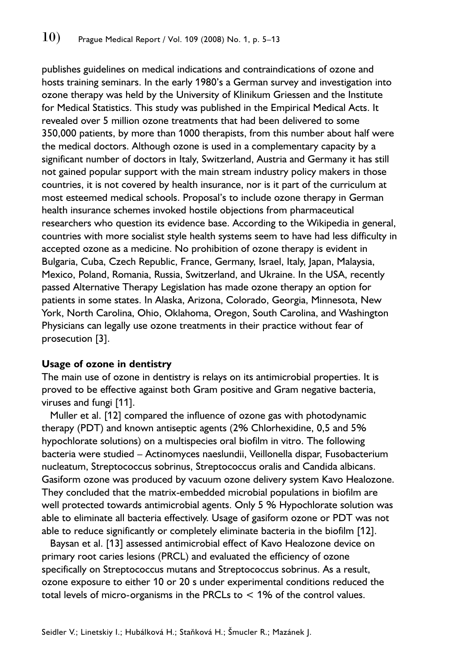publishes guidelines on medical indications and contraindications of ozone and hosts training seminars. In the early 1980's a German survey and investigation into ozone therapy was held by the University of Klinikum Griessen and the Institute for Medical Statistics. This study was published in the Empirical Medical Acts. It revealed over 5 million ozone treatments that had been delivered to some 350,000 patients, by more than 1000 therapists, from this number about half were the medical doctors. Although ozone is used in a complementary capacity by a significant number of doctors in Italy, Switzerland, Austria and Germany it has still not gained popular support with the main stream industry policy makers in those countries, it is not covered by health insurance, nor is it part of the curriculum at most esteemed medical schools. Proposal's to include ozone therapy in German health insurance schemes invoked hostile objections from pharmaceutical researchers who question its evidence base. According to the Wikipedia in general, countries with more socialist style health systems seem to have had less difficulty in accepted ozone as a medicine. No prohibition of ozone therapy is evident in Bulgaria, Cuba, Czech Republic, France, Germany, Israel, Italy, Japan, Malaysia, Mexico, Poland, Romania, Russia, Switzerland, and Ukraine. In the USA, recently passed Alternative Therapy Legislation has made ozone therapy an option for patients in some states. In Alaska, Arizona, Colorado, Georgia, Minnesota, New York, North Carolina, Ohio, Oklahoma, Oregon, South Carolina, and Washington Physicians can legally use ozone treatments in their practice without fear of prosecution [3].

# **Usage of ozone in dentistry**

The main use of ozone in dentistry is relays on its antimicrobial properties. It is proved to be effective against both Gram positive and Gram negative bacteria, viruses and fungi [11].

Muller et al. [12] compared the influence of ozone gas with photodynamic therapy (PDT) and known antiseptic agents (2% Chlorhexidine, 0,5 and 5% hypochlorate solutions) on a multispecies oral biofilm in vitro. The following bacteria were studied – Actinomyces naeslundii, Veillonella dispar, Fusobacterium nucleatum, Streptococcus sobrinus, Streptococcus oralis and Candida albicans. Gasiform ozone was produced by vacuum ozone delivery system Kavo Healozone. They concluded that the matrix-embedded microbial populations in biofilm are well protected towards antimicrobial agents. Only 5 % Hypochlorate solution was able to eliminate all bacteria effectively. Usage of gasiform ozone or PDT was not able to reduce significantly or completely eliminate bacteria in the biofilm [12].

Baysan et al. [13] assessed antimicrobial effect of Kavo Healozone device on primary root caries lesions (PRCL) and evaluated the efficiency of ozone specifically on Streptococcus mutans and Streptococcus sobrinus. As a result, ozone exposure to either 10 or 20 s under experimental conditions reduced the total levels of micro-organisms in the PRCLs to  $\lt$  1% of the control values.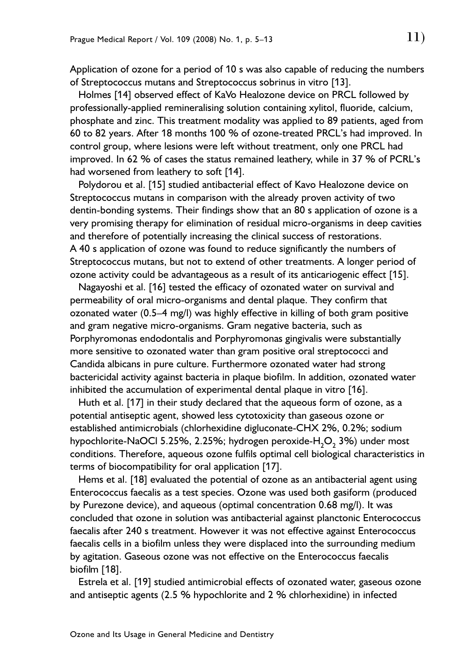Application of ozone for a period of 10 s was also capable of reducing the numbers of Streptococcus mutans and Streptococcus sobrinus in vitro [13].

Holmes [14] observed effect of KaVo Healozone device on PRCL followed by professionally-applied remineralising solution containing xylitol, fluoride, calcium, phosphate and zinc. This treatment modality was applied to 89 patients, aged from 60 to 82 years. After 18 months 100 % of ozone-treated PRCL's had improved. In control group, where lesions were left without treatment, only one PRCL had improved. In 62 % of cases the status remained leathery, while in 37 % of PCRL's had worsened from leathery to soft [14].

Polydorou et al. [15] studied antibacterial effect of Kavo Healozone device on Streptococcus mutans in comparison with the already proven activity of two dentin-bonding systems. Their findings show that an 80 s application of ozone is a very promising therapy for elimination of residual micro-organisms in deep cavities and therefore of potentially increasing the clinical success of restorations. A 40 s application of ozone was found to reduce significantly the numbers of Streptococcus mutans, but not to extend of other treatments. A longer period of ozone activity could be advantageous as a result of its anticariogenic effect [15].

Nagayoshi et al. [16] tested the efficacy of ozonated water on survival and permeability of oral micro-organisms and dental plaque. They confirm that ozonated water (0.5–4 mg/l) was highly effective in killing of both gram positive and gram negative micro-organisms. Gram negative bacteria, such as Porphyromonas endodontalis and Porphyromonas gingivalis were substantially more sensitive to ozonated water than gram positive oral streptococci and Candida albicans in pure culture. Furthermore ozonated water had strong bactericidal activity against bacteria in plaque biofilm. In addition, ozonated water inhibited the accumulation of experimental dental plaque in vitro [16].

Huth et al. [17] in their study declared that the aqueous form of ozone, as a potential antiseptic agent, showed less cytotoxicity than gaseous ozone or established antimicrobials (chlorhexidine digluconate-CHX 2%, 0.2%; sodium hypochlorite-NaOCl 5.25%, 2.25%; hydrogen peroxide-H<sub>2</sub>O<sub>2</sub> 3%) under most conditions. Therefore, aqueous ozone fulfils optimal cell biological characteristics in terms of biocompatibility for oral application [17].

Hems et al. [18] evaluated the potential of ozone as an antibacterial agent using Enterococcus faecalis as a test species. Ozone was used both gasiform (produced by Purezone device), and aqueous (optimal concentration 0.68 mg/l). It was concluded that ozone in solution was antibacterial against planctonic Enterococcus faecalis after 240 s treatment. However it was not effective against Enterococcus faecalis cells in a biofilm unless they were displaced into the surrounding medium by agitation. Gaseous ozone was not effective on the Enterococcus faecalis biofilm [18].

Estrela et al. [19] studied antimicrobial effects of ozonated water, gaseous ozone and antiseptic agents (2.5 % hypochlorite and 2 % chlorhexidine) in infected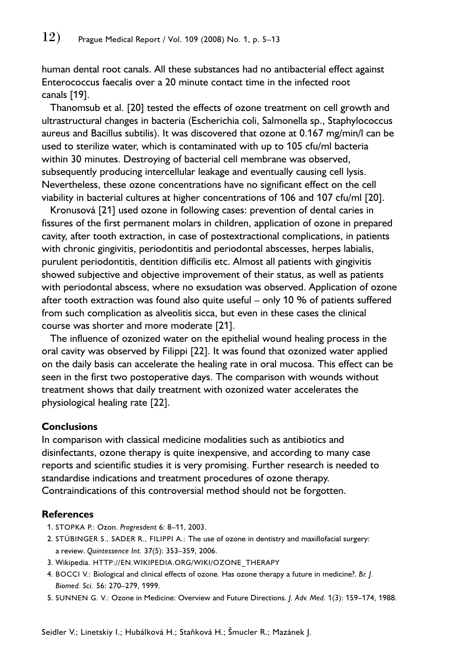human dental root canals. All these substances had no antibacterial effect against Enterococcus faecalis over a 20 minute contact time in the infected root canals [19].

Thanomsub et al. [20] tested the effects of ozone treatment on cell growth and ultrastructural changes in bacteria (Escherichia coli, Salmonella sp., Staphylococcus aureus and Bacillus subtilis). It was discovered that ozone at 0.167 mg/min/l can be used to sterilize water, which is contaminated with up to 105 cfu/ml bacteria within 30 minutes. Destroying of bacterial cell membrane was observed, subsequently producing intercellular leakage and eventually causing cell lysis. Nevertheless, these ozone concentrations have no significant effect on the cell viability in bacterial cultures at higher concentrations of 106 and 107 cfu/ml [20].

Kronusová [21] used ozone in following cases: prevention of dental caries in fissures of the first permanent molars in children, application of ozone in prepared cavity, after tooth extraction, in case of postextractional complications, in patients with chronic gingivitis, periodontitis and periodontal abscesses, herpes labialis, purulent periodontitis, dentition difficilis etc. Almost all patients with gingivitis showed subjective and objective improvement of their status, as well as patients with periodontal abscess, where no exsudation was observed. Application of ozone after tooth extraction was found also quite useful – only 10 % of patients suffered from such complication as alveolitis sicca, but even in these cases the clinical course was shorter and more moderate [21].

The influence of ozonized water on the epithelial wound healing process in the oral cavity was observed by Filippi [22]. It was found that ozonized water applied on the daily basis can accelerate the healing rate in oral mucosa. This effect can be seen in the first two postoperative days. The comparison with wounds without treatment shows that daily treatment with ozonized water accelerates the physiological healing rate [22].

#### **Conclusions**

In comparison with classical medicine modalities such as antibiotics and disinfectants, ozone therapy is quite inexpensive, and according to many case reports and scientific studies it is very promising. Further research is needed to standardise indications and treatment procedures of ozone therapy. Contraindications of this controversial method should not be forgotten.

#### **References**

- 1. STOPKA P.: Ozon. *Progresdent* 6: 8–11, 2003.
- 2. STÜBINGER S., SADER R., FILIPPI A.: The use of ozone in dentistry and maxillofacial surgery: a review. *Quintessence Int.* 37(5): 353–359, 2006.
- 3. Wikipedia. HTTP://EN.WIKIPEDIA.ORG/WIKI/OZONE\_THERAPY
- 4. BOCCI V.: Biological and clinical effects of ozone. Has ozone therapy a future in medicine?. *Br. J. Biomed. Sci.* 56: 270–279, 1999.
- 5. SUNNEN G. V.: Ozone in Medicine: Overview and Future Directions. *J. Adv. Med.* 1(3): 159–174, 1988.